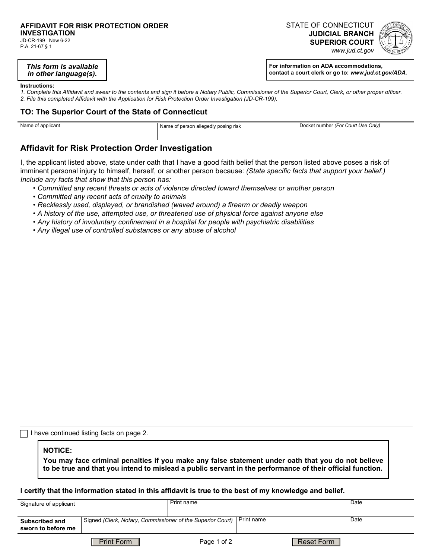# **AFFIDAVIT FOR RISK PROTECTION ORDER**

**INVESTIGATION**  JD-CR-199 New 6-22 P.A. 21-67 § 1

STATE OF CONNECTICUT **JUDICIAL BRANCH SUPERIOR COURT**  *www.jud.ct.gov*



*This form is available in other language(s).*

**For information on ADA accommodations, contact a court clerk or go to:** *www.jud.ct.gov/ADA.*

#### **Instructions:**

*1. Complete this Affidavit and swear to the contents and sign it before a Notary Public, Commissioner of the Superior Court, Clerk, or other proper officer. 2. File this completed Affidavit with the Application for Risk Protection Order Investigation (JD-CR-199).*

### **TO: The Superior Court of the State of Connecticut**

| Name of applicant | Name of person allegedly posing risk | Docket number (For Court Use Only) |  |
|-------------------|--------------------------------------|------------------------------------|--|
|                   |                                      |                                    |  |

## **Affidavit for Risk Protection Order Investigation**

I, the applicant listed above, state under oath that I have a good faith belief that the person listed above poses a risk of imminent personal injury to himself, herself, or another person because: *(State specific facts that support your belief.) Include any facts that show that this person has:*

- *Committed any recent threats or acts of violence directed toward themselves or another person*
- *Committed any recent acts of cruelty to animals*
- *Recklessly used, displayed, or brandished (waved around) a firearm or deadly weapon*
- *A history of the use, attempted use, or threatened use of physical force against anyone else*
- *Any history of involuntary confinement in a hospital for people with psychiatric disabilities*
- *Any illegal use of controlled substances or any abuse of alcohol*

I have continued listing facts on page 2.

### **NOTICE:**

**You may face criminal penalties if you make any false statement under oath that you do not believe to be true and that you intend to mislead a public servant in the performance of their official function.**

### **I certify that the information stated in this affidavit is true to the best of my knowledge and belief.**

| Signature of applicant                      |                                                                       | Print name  |  |            | Date |
|---------------------------------------------|-----------------------------------------------------------------------|-------------|--|------------|------|
| <b>Subscribed and</b><br>sworn to before me | Signed (Clerk, Notary, Commissioner of the Superior Court) Print name |             |  | Date       |      |
|                                             | <b>Print Form</b>                                                     | Page 1 of 2 |  | Reset Form |      |